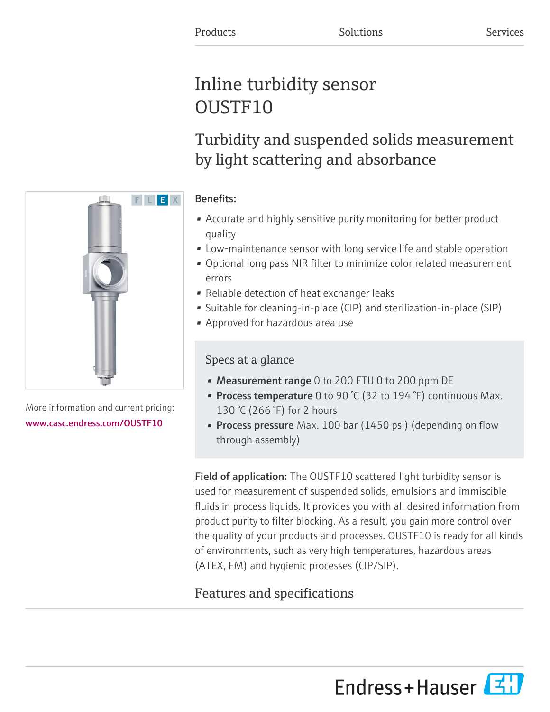# Inline turbidity sensor OUSTF10

Turbidity and suspended solids measurement by light scattering and absorbance

# Benefits:

- Accurate and highly sensitive purity monitoring for better product quality
- Low-maintenance sensor with long service life and stable operation
- Optional long pass NIR filter to minimize color related measurement errors
- Reliable detection of heat exchanger leaks
- Suitable for cleaning-in-place (CIP) and sterilization-in-place (SIP)
- Approved for hazardous area use

# Specs at a glance

- Measurement range 0 to 200 FTU 0 to 200 ppm DE
- Process temperature 0 to 90 °C (32 to 194 °F) continuous Max. 130 °C (266 °F) for 2 hours
- Process pressure Max. 100 bar (1450 psi) (depending on flow through assembly)

**Field of application:** The OUSTF10 scattered light turbidity sensor is used for measurement of suspended solids, emulsions and immiscible fluids in process liquids. It provides you with all desired information from product purity to filter blocking. As a result, you gain more control over the quality of your products and processes. OUSTF10 is ready for all kinds of environments, such as very high temperatures, hazardous areas (ATEX, FM) and hygienic processes (CIP/SIP).

# Features and specifications





More information and current pricing: [www.casc.endress.com/OUSTF10](https://www.casc.endress.com/OUSTF10)